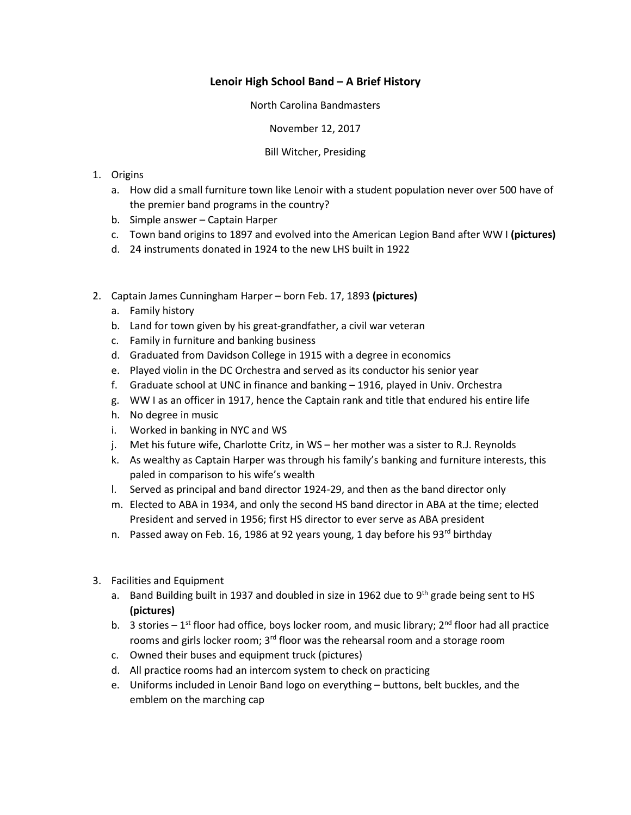## **Lenoir High School Band – A Brief History**

North Carolina Bandmasters

November 12, 2017

## Bill Witcher, Presiding

- 1. Origins
	- a. How did a small furniture town like Lenoir with a student population never over 500 have of the premier band programs in the country?
	- b. Simple answer Captain Harper
	- c. Town band origins to 1897 and evolved into the American Legion Band after WW I **(pictures)**
	- d. 24 instruments donated in 1924 to the new LHS built in 1922
- 2. Captain James Cunningham Harper born Feb. 17, 1893 **(pictures)**
	- a. Family history
	- b. Land for town given by his great-grandfather, a civil war veteran
	- c. Family in furniture and banking business
	- d. Graduated from Davidson College in 1915 with a degree in economics
	- e. Played violin in the DC Orchestra and served as its conductor his senior year
	- f. Graduate school at UNC in finance and banking 1916, played in Univ. Orchestra
	- g. WW I as an officer in 1917, hence the Captain rank and title that endured his entire life
	- h. No degree in music
	- i. Worked in banking in NYC and WS
	- j. Met his future wife, Charlotte Critz, in WS her mother was a sister to R.J. Reynolds
	- k. As wealthy as Captain Harper was through his family's banking and furniture interests, this paled in comparison to his wife's wealth
	- l. Served as principal and band director 1924-29, and then as the band director only
	- m. Elected to ABA in 1934, and only the second HS band director in ABA at the time; elected President and served in 1956; first HS director to ever serve as ABA president
	- n. Passed away on Feb. 16, 1986 at 92 years young, 1 day before his 93<sup>rd</sup> birthday
- 3. Facilities and Equipment
	- a. Band Building built in 1937 and doubled in size in 1962 due to 9th grade being sent to HS **(pictures)**
	- b. 3 stories 1<sup>st</sup> floor had office, boys locker room, and music library;  $2^{nd}$  floor had all practice rooms and girls locker room; 3<sup>rd</sup> floor was the rehearsal room and a storage room
	- c. Owned their buses and equipment truck (pictures)
	- d. All practice rooms had an intercom system to check on practicing
	- e. Uniforms included in Lenoir Band logo on everything buttons, belt buckles, and the emblem on the marching cap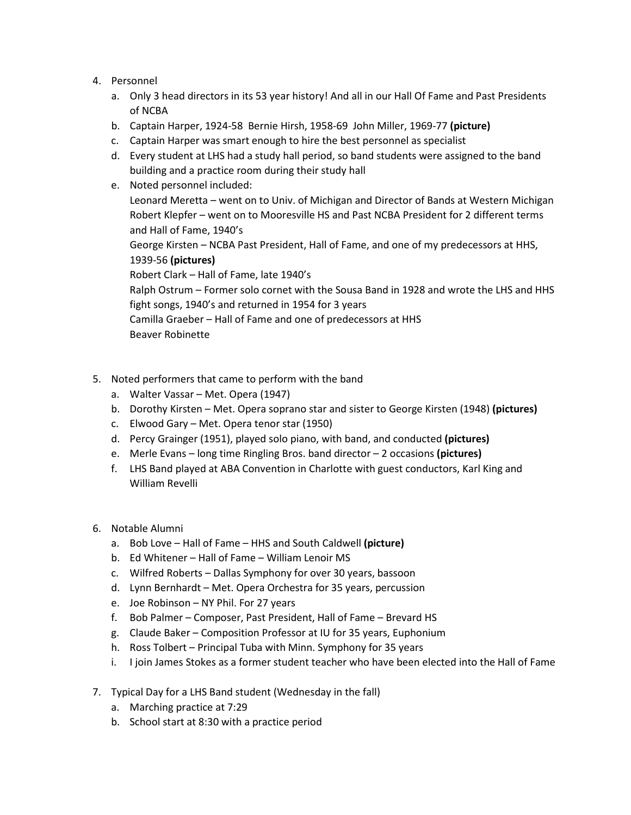- 4. Personnel
	- a. Only 3 head directors in its 53 year history! And all in our Hall Of Fame and Past Presidents of NCBA
	- b. Captain Harper, 1924-58 Bernie Hirsh, 1958-69 John Miller, 1969-77 **(picture)**
	- c. Captain Harper was smart enough to hire the best personnel as specialist
	- d. Every student at LHS had a study hall period, so band students were assigned to the band building and a practice room during their study hall

e. Noted personnel included: Leonard Meretta – went on to Univ. of Michigan and Director of Bands at Western Michigan Robert Klepfer – went on to Mooresville HS and Past NCBA President for 2 different terms and Hall of Fame, 1940's George Kirsten – NCBA Past President, Hall of Fame, and one of my predecessors at HHS, 1939-56 **(pictures)** Robert Clark – Hall of Fame, late 1940's Ralph Ostrum – Former solo cornet with the Sousa Band in 1928 and wrote the LHS and HHS fight songs, 1940's and returned in 1954 for 3 years Camilla Graeber – Hall of Fame and one of predecessors at HHS Beaver Robinette

- 5. Noted performers that came to perform with the band
	- a. Walter Vassar Met. Opera (1947)
	- b. Dorothy Kirsten Met. Opera soprano star and sister to George Kirsten (1948) **(pictures)**
	- c. Elwood Gary Met. Opera tenor star (1950)
	- d. Percy Grainger (1951), played solo piano, with band, and conducted **(pictures)**
	- e. Merle Evans long time Ringling Bros. band director 2 occasions **(pictures)**
	- f. LHS Band played at ABA Convention in Charlotte with guest conductors, Karl King and William Revelli
- 6. Notable Alumni
	- a. Bob Love Hall of Fame HHS and South Caldwell **(picture)**
	- b. Ed Whitener Hall of Fame William Lenoir MS
	- c. Wilfred Roberts Dallas Symphony for over 30 years, bassoon
	- d. Lynn Bernhardt Met. Opera Orchestra for 35 years, percussion
	- e. Joe Robinson NY Phil. For 27 years
	- f. Bob Palmer Composer, Past President, Hall of Fame Brevard HS
	- g. Claude Baker Composition Professor at IU for 35 years, Euphonium
	- h. Ross Tolbert Principal Tuba with Minn. Symphony for 35 years
	- i. I join James Stokes as a former student teacher who have been elected into the Hall of Fame
- 7. Typical Day for a LHS Band student (Wednesday in the fall)
	- a. Marching practice at 7:29
	- b. School start at 8:30 with a practice period